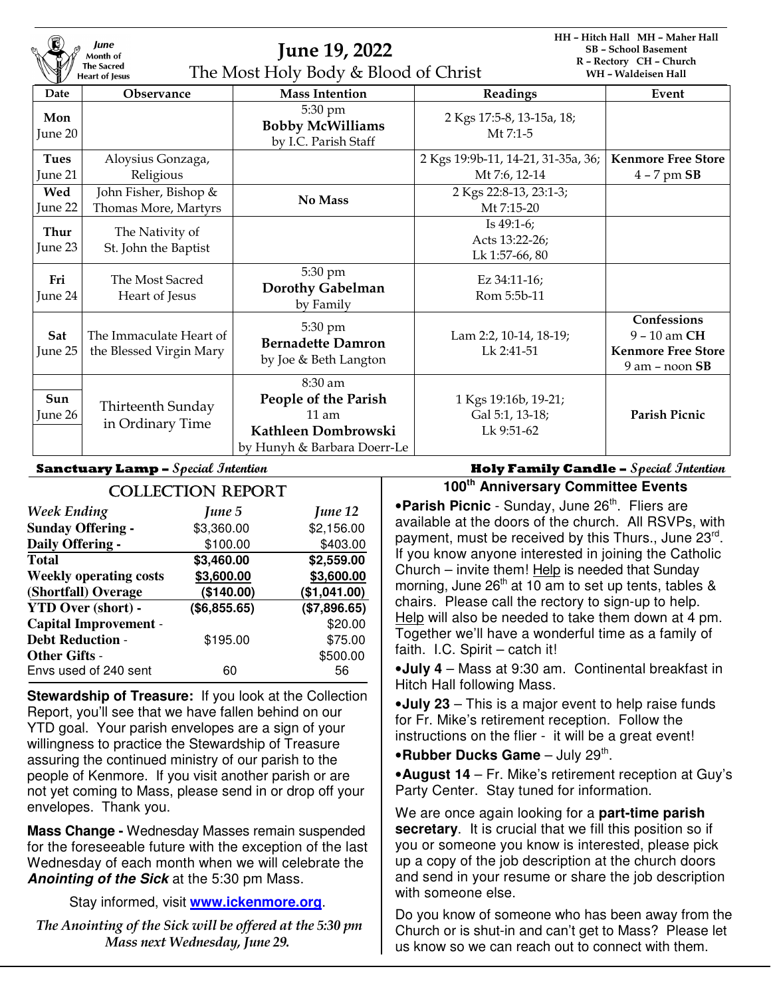| lune<br>Month of<br><b>The Sacred</b><br><b>Heart of Jesus</b> |                                                    | <b>June 19, 2022</b><br>The Most Holy Body & Blood of Christ                                     |                                                       | HH - Hitch Hall MH - Maher Hall<br><b>SB</b> - School Basement<br>R - Rectory CH - Church<br>WH - Waldeisen Hall |  |
|----------------------------------------------------------------|----------------------------------------------------|--------------------------------------------------------------------------------------------------|-------------------------------------------------------|------------------------------------------------------------------------------------------------------------------|--|
| Date                                                           | <b>Observance</b>                                  | <b>Mass Intention</b>                                                                            | Readings                                              | Event                                                                                                            |  |
| Mon<br>June 20                                                 |                                                    | 5:30 pm<br><b>Bobby McWilliams</b><br>by I.C. Parish Staff                                       | 2 Kgs 17:5-8, 13-15a, 18;<br>$Mt$ 7:1-5               |                                                                                                                  |  |
| <b>Tues</b>                                                    | Aloysius Gonzaga,                                  |                                                                                                  | 2 Kgs 19:9b-11, 14-21, 31-35a, 36;                    | <b>Kenmore Free Store</b>                                                                                        |  |
| June 21                                                        | Religious                                          |                                                                                                  | Mt 7:6, 12-14                                         | $4 - 7$ pm $SB$                                                                                                  |  |
| Wed                                                            | John Fisher, Bishop &                              | No Mass                                                                                          | 2 Kgs 22:8-13, 23:1-3;                                |                                                                                                                  |  |
| June 22                                                        | Thomas More, Martyrs                               |                                                                                                  | Mt 7:15-20                                            |                                                                                                                  |  |
| Thur<br>June 23                                                | The Nativity of<br>St. John the Baptist            |                                                                                                  | Is $49:1-6$ ;<br>Acts 13:22-26;<br>Lk 1:57-66, 80     |                                                                                                                  |  |
| Fri<br>June 24                                                 | The Most Sacred<br>Heart of Jesus                  | 5:30 pm<br><b>Dorothy Gabelman</b><br>by Family                                                  | Ez 34:11-16;<br>Rom 5:5b-11                           |                                                                                                                  |  |
| Sat<br>June 25                                                 | The Immaculate Heart of<br>the Blessed Virgin Mary | 5:30 pm<br><b>Bernadette Damron</b><br>by Joe & Beth Langton                                     | Lam 2:2, 10-14, 18-19;<br>Lk 2:41-51                  | Confessions<br>9 - 10 am CH<br><b>Kenmore Free Store</b><br>$9$ am $-$ noon $SB$                                 |  |
| Sun<br>June 26                                                 | Thirteenth Sunday<br>in Ordinary Time              | 8:30 am<br>People of the Parish<br>$11$ am<br>Kathleen Dombrowski<br>by Hunyh & Barbara Doerr-Le | 1 Kgs 19:16b, 19-21;<br>Gal 5:1, 13-18;<br>Lk 9:51-62 | <b>Parish Picnic</b>                                                                                             |  |

| <b>COLLECTION REPORT</b>      |              |              |  |  |  |
|-------------------------------|--------------|--------------|--|--|--|
| <b>Week Ending</b>            | June 5       | June 12      |  |  |  |
| <b>Sunday Offering -</b>      | \$3,360.00   | \$2,156.00   |  |  |  |
| Daily Offering -              | \$100.00     | \$403.00     |  |  |  |
| <b>Total</b>                  | \$3,460.00   | \$2,559.00   |  |  |  |
| <b>Weekly operating costs</b> | \$3,600.00   | \$3,600.00   |  |  |  |
| (Shortfall) Overage           | (\$140.00)   | (\$1,041.00) |  |  |  |
| <b>YTD Over (short) -</b>     | (\$6,855.65) | (\$7,896.65) |  |  |  |
| <b>Capital Improvement -</b>  |              | \$20.00      |  |  |  |
| <b>Debt Reduction -</b>       | \$195.00     | \$75.00      |  |  |  |
| <b>Other Gifts -</b>          |              | \$500.00     |  |  |  |
| Envs used of 240 sent         | 60           | 56           |  |  |  |

**Stewardship of Treasure:** If you look at the Collection Report, you'll see that we have fallen behind on our YTD goal. Your parish envelopes are a sign of your willingness to practice the Stewardship of Treasure assuring the continued ministry of our parish to the people of Kenmore. If you visit another parish or are not yet coming to Mass, please send in or drop off your envelopes. Thank you.

**Mass Change -** Wednesday Masses remain suspended for the foreseeable future with the exception of the last Wednesday of each month when we will celebrate the **Anointing of the Sick** at the 5:30 pm Mass.

Stay informed, visit **www.ickenmore.org**.

 *The Anointing of the Sick will be offered at the 5:30 pm Mass next Wednesday, June 29.* 

**Sanctuary Lamp – Special Intention Holy Family Candle – Special Intention**

**100th Anniversary Committee Events** 

**• Parish Picnic** - Sunday, June 26<sup>th</sup>. Fliers are available at the doors of the church. All RSVPs, with payment, must be received by this Thurs., June 23<sup>rd</sup>. If you know anyone interested in joining the Catholic Church – invite them! Help is needed that Sunday morning, June  $26<sup>th</sup>$  at 10 am to set up tents, tables & chairs. Please call the rectory to sign-up to help. Help will also be needed to take them down at 4 pm. Together we'll have a wonderful time as a family of faith. I.C. Spirit – catch it!

•**July 4** – Mass at 9:30 am. Continental breakfast in Hitch Hall following Mass.

•**July 23** – This is a major event to help raise funds for Fr. Mike's retirement reception. Follow the instructions on the flier - it will be a great event!

**•Rubber Ducks Game** – July 29<sup>th</sup>.

•**August 14** – Fr. Mike's retirement reception at Guy's Party Center. Stay tuned for information.

We are once again looking for a **part-time parish secretary**. It is crucial that we fill this position so if you or someone you know is interested, please pick up a copy of the job description at the church doors and send in your resume or share the job description with someone else.

Do you know of someone who has been away from the Church or is shut-in and can't get to Mass? Please let us know so we can reach out to connect with them.